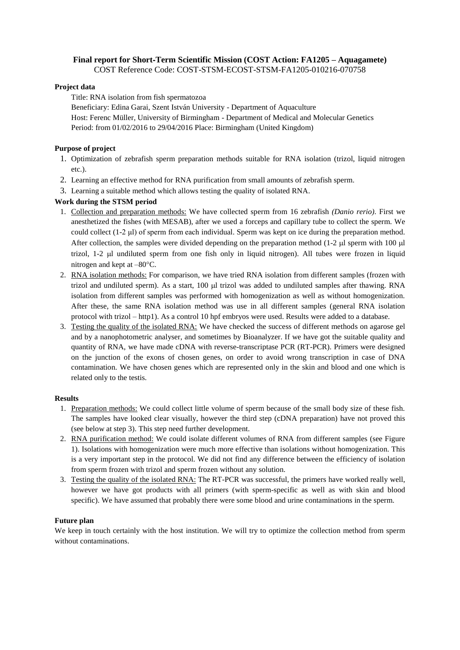# **Final report for Short**‐**Term Scientific Mission (COST Action: FA1205 – Aquagamete)**

COST Reference Code: COST-STSM-ECOST-STSM-FA1205-010216-070758

#### **Project data**

Title: RNA isolation from fish spermatozoa

Beneficiary: Edina Garai, Szent István University - Department of Aquaculture Host: Ferenc Müller, University of Birmingham - Department of Medical and Molecular Genetics Period: from 01/02/2016 to 29/04/2016 Place: Birmingham (United Kingdom)

### **Purpose of project**

- 1. Optimization of zebrafish sperm preparation methods suitable for RNA isolation (trizol, liquid nitrogen etc.).
- 2. Learning an effective method for RNA purification from small amounts of zebrafish sperm.
- 3. Learning a suitable method which allows testing the quality of isolated RNA.

#### **Work during the STSM period**

- 1. Collection and preparation methods: We have collected sperm from 16 zebrafish *(Danio rerio)*. First we anesthetized the fishes (with MESAB), after we used a forceps and capillary tube to collect the sperm. We could collect (1-2 μl) of sperm from each individual. Sperm was kept on ice during the preparation method. After collection, the samples were divided depending on the preparation method  $(1-2 \mu)$  sperm with 100  $\mu$ trizol, 1-2 µl undiluted sperm from one fish only in liquid nitrogen). All tubes were frozen in liquid nitrogen and kept at  $-80^{\circ}$ C.
- 2. RNA isolation methods: For comparison, we have tried RNA isolation from different samples (frozen with trizol and undiluted sperm). As a start, 100  $\mu$ l trizol was added to undiluted samples after thawing. RNA isolation from different samples was performed with homogenization as well as without homogenization. After these, the same RNA isolation method was use in all different samples (general RNA isolation protocol with trizol – http1). As a control 10 hpf embryos were used. Results were added to a database.
- 3. Testing the quality of the isolated RNA: We have checked the success of different methods on agarose gel and by a nanophotometric analyser, and sometimes by Bioanalyzer. If we have got the suitable quality and quantity of RNA, we have made cDNA with reverse-transcriptase PCR (RT-PCR). Primers were designed on the junction of the exons of chosen genes, on order to avoid wrong transcription in case of DNA contamination. We have chosen genes which are represented only in the skin and blood and one which is related only to the testis.

## **Results**

- 1. Preparation methods: We could collect little volume of sperm because of the small body size of these fish. The samples have looked clear visually, however the third step (cDNA preparation) have not proved this (see below at step 3). This step need further development.
- 2. RNA purification method: We could isolate different volumes of RNA from different samples (see Figure 1). Isolations with homogenization were much more effective than isolations without homogenization. This is a very important step in the protocol. We did not find any difference between the efficiency of isolation from sperm frozen with trizol and sperm frozen without any solution.
- 3. Testing the quality of the isolated RNA: The RT-PCR was successful, the primers have worked really well, however we have got products with all primers (with sperm-specific as well as with skin and blood specific). We have assumed that probably there were some blood and urine contaminations in the sperm.

#### **Future plan**

We keep in touch certainly with the host institution. We will try to optimize the collection method from sperm without contaminations.